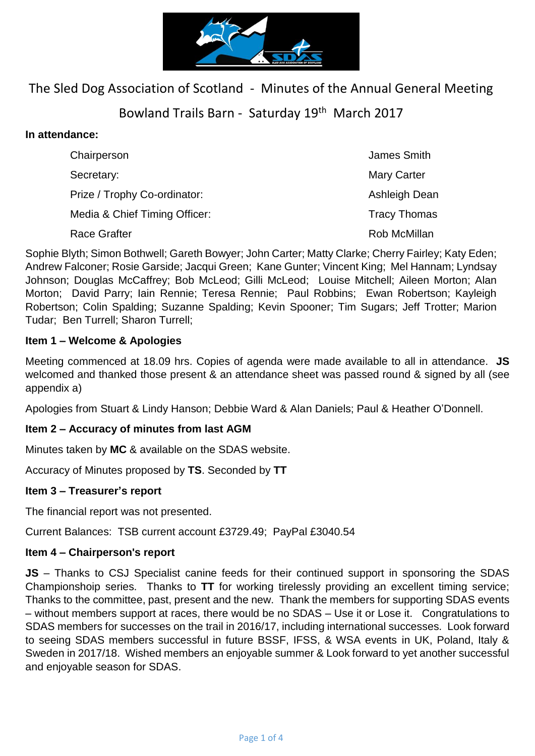

# The Sled Dog Association of Scotland - Minutes of the Annual General Meeting

# Bowland Trails Barn - Saturday 19<sup>th</sup> March 2017

# **In attendance:**

| Chairperson                   | James Smith         |
|-------------------------------|---------------------|
| Secretary:                    | <b>Mary Carter</b>  |
| Prize / Trophy Co-ordinator:  | Ashleigh Dean       |
| Media & Chief Timing Officer: | <b>Tracy Thomas</b> |
| <b>Race Grafter</b>           | Rob McMillan        |

Sophie Blyth; Simon Bothwell; Gareth Bowyer; John Carter; Matty Clarke; Cherry Fairley; Katy Eden; Andrew Falconer; Rosie Garside; Jacqui Green; Kane Gunter; Vincent King; Mel Hannam; Lyndsay Johnson; Douglas McCaffrey; Bob McLeod; Gilli McLeod; Louise Mitchell; Aileen Morton; Alan Morton; David Parry; Iain Rennie; Teresa Rennie; Paul Robbins; Ewan Robertson; Kayleigh Robertson; Colin Spalding; Suzanne Spalding; Kevin Spooner; Tim Sugars; Jeff Trotter; Marion Tudar; Ben Turrell; Sharon Turrell;

### **Item 1 – Welcome & Apologies**

Meeting commenced at 18.09 hrs. Copies of agenda were made available to all in attendance. **JS** welcomed and thanked those present & an attendance sheet was passed round & signed by all (see appendix a)

Apologies from Stuart & Lindy Hanson; Debbie Ward & Alan Daniels; Paul & Heather O'Donnell.

# **Item 2 – Accuracy of minutes from last AGM**

Minutes taken by **MC** & available on the SDAS website.

Accuracy of Minutes proposed by **TS**. Seconded by **TT**

### **Item 3 – Treasurer's report**

The financial report was not presented.

Current Balances: TSB current account £3729.49; PayPal £3040.54

### **Item 4 – Chairperson's report**

**JS** – Thanks to CSJ Specialist canine feeds for their continued support in sponsoring the SDAS Championshoip series. Thanks to **TT** for working tirelessly providing an excellent timing service; Thanks to the committee, past, present and the new. Thank the members for supporting SDAS events – without members support at races, there would be no SDAS – Use it or Lose it. Congratulations to SDAS members for successes on the trail in 2016/17, including international successes. Look forward to seeing SDAS members successful in future BSSF, IFSS, & WSA events in UK, Poland, Italy & Sweden in 2017/18. Wished members an enjoyable summer & Look forward to yet another successful and enjoyable season for SDAS.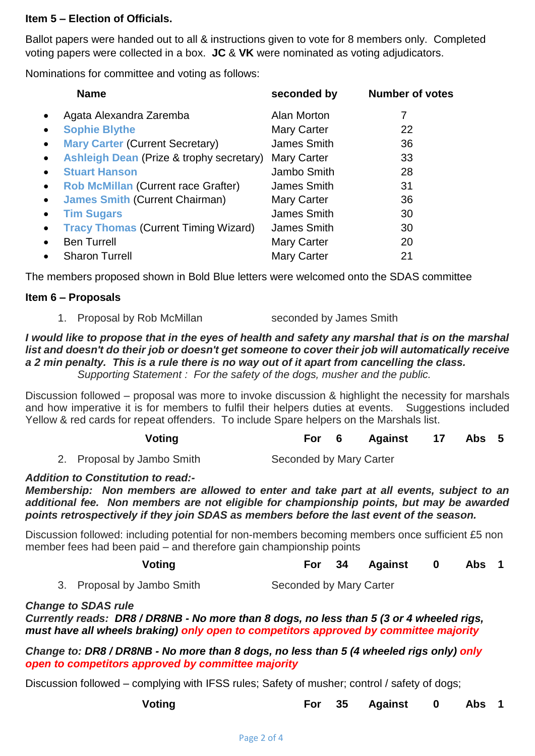### **Item 5 – Election of Officials.**

Ballot papers were handed out to all & instructions given to vote for 8 members only. Completed voting papers were collected in a box. **JC** & **VK** were nominated as voting adjudicators.

Nominations for committee and voting as follows:

|           | <b>Name</b>                                         | seconded by        | <b>Number of votes</b> |
|-----------|-----------------------------------------------------|--------------------|------------------------|
| $\bullet$ | Agata Alexandra Zaremba                             | Alan Morton        | 7                      |
| $\bullet$ | <b>Sophie Blythe</b>                                | <b>Mary Carter</b> | 22                     |
| $\bullet$ | <b>Mary Carter (Current Secretary)</b>              | James Smith        | 36                     |
| $\bullet$ | <b>Ashleigh Dean (Prize &amp; trophy secretary)</b> | <b>Mary Carter</b> | 33                     |
| $\bullet$ | <b>Stuart Hanson</b>                                | Jambo Smith        | 28                     |
| $\bullet$ | <b>Rob McMillan (Current race Grafter)</b>          | James Smith        | 31                     |
| $\bullet$ | <b>James Smith (Current Chairman)</b>               | <b>Mary Carter</b> | 36                     |
| $\bullet$ | <b>Tim Sugars</b>                                   | James Smith        | 30                     |
| $\bullet$ | <b>Tracy Thomas (Current Timing Wizard)</b>         | James Smith        | 30                     |
| $\bullet$ | <b>Ben Turrell</b>                                  | <b>Mary Carter</b> | 20                     |
| $\bullet$ | <b>Sharon Turrell</b>                               | <b>Mary Carter</b> | 21                     |

The members proposed shown in Bold Blue letters were welcomed onto the SDAS committee

# **Item 6 – Proposals**

1. Proposal by Rob McMillan seconded by James Smith

# *I* would like to propose that in the eyes of health and safety any marshal that is on the marshal *list and doesn't do their job or doesn't get someone to cover their job will automatically receive a 2 min penalty. This is a rule there is no way out of it apart from cancelling the class.*

*Supporting Statement : For the safety of the dogs, musher and the public.*

Discussion followed – proposal was more to invoke discussion & highlight the necessity for marshals and how imperative it is for members to fulfil their helpers duties at events. Suggestions included Yellow & red cards for repeat offenders. To include Spare helpers on the Marshals list.

| Voting |  |  | For 6 Against 17 Abs 5 |  |  |  |
|--------|--|--|------------------------|--|--|--|
|--------|--|--|------------------------|--|--|--|

2. Proposal by Jambo Smith Seconded by Mary Carter

### *Addition to Constitution to read:-*

*Membership: Non members are allowed to enter and take part at all events, subject to an additional fee. Non members are not eligible for championship points, but may be awarded points retrospectively if they join SDAS as members before the last event of the season.*

Discussion followed: including potential for non-members becoming members once sufficient £5 non member fees had been paid – and therefore gain championship points

| Voting |  |  | For 34 Against 0 Abs 1 |  |  |  |
|--------|--|--|------------------------|--|--|--|
|--------|--|--|------------------------|--|--|--|

|  | 3. Proposal by Jambo Smith | Seconded by Mary Carter |  |
|--|----------------------------|-------------------------|--|
|  |                            |                         |  |

#### *Change to SDAS rule*

*Currently reads: DR8 / DR8NB - No more than 8 dogs, no less than 5 (3 or 4 wheeled rigs, must have all wheels braking) only open to competitors approved by committee majority*

*Change to: DR8 / DR8NB - No more than 8 dogs, no less than 5 (4 wheeled rigs only) only open to competitors approved by committee majority*

Discussion followed – complying with IFSS rules; Safety of musher; control / safety of dogs;

| Voting |  | For 35 Against 0 Abs 1 |  |  |
|--------|--|------------------------|--|--|
|        |  |                        |  |  |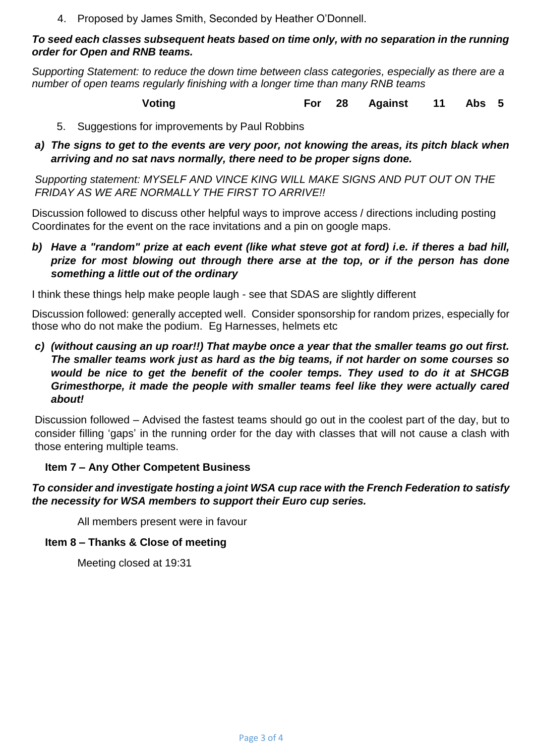4. Proposed by James Smith, Seconded by Heather O'Donnell.

### *To seed each classes subsequent heats based on time only, with no separation in the running order for Open and RNB teams.*

*Supporting Statement: to reduce the down time between class categories, especially as there are a number of open teams regularly finishing with a longer time than many RNB teams*

**Voting For 28 Against 11 Abs 5**

- 5. Suggestions for improvements by Paul Robbins
- *a) The signs to get to the events are very poor, not knowing the areas, its pitch black when arriving and no sat navs normally, there need to be proper signs done.*

*Supporting statement: MYSELF AND VINCE KING WILL MAKE SIGNS AND PUT OUT ON THE FRIDAY AS WE ARE NORMALLY THE FIRST TO ARRIVE!!*

Discussion followed to discuss other helpful ways to improve access / directions including posting Coordinates for the event on the race invitations and a pin on google maps.

*b) Have a "random" prize at each event (like what steve got at ford) i.e. if theres a bad hill, prize for most blowing out through there arse at the top, or if the person has done something a little out of the ordinary*

I think these things help make people laugh - see that SDAS are slightly different

Discussion followed: generally accepted well. Consider sponsorship for random prizes, especially for those who do not make the podium. Eg Harnesses, helmets etc

*c) (without causing an up roar!!) That maybe once a year that the smaller teams go out first. The smaller teams work just as hard as the big teams, if not harder on some courses so would be nice to get the benefit of the cooler temps. They used to do it at SHCGB Grimesthorpe, it made the people with smaller teams feel like they were actually cared about!*

Discussion followed – Advised the fastest teams should go out in the coolest part of the day, but to consider filling 'gaps' in the running order for the day with classes that will not cause a clash with those entering multiple teams.

# **Item 7 – Any Other Competent Business**

# *To consider and investigate hosting a joint WSA cup race with the French Federation to satisfy the necessity for WSA members to support their Euro cup series.*

All members present were in favour

### **Item 8 – Thanks & Close of meeting**

Meeting closed at 19:31